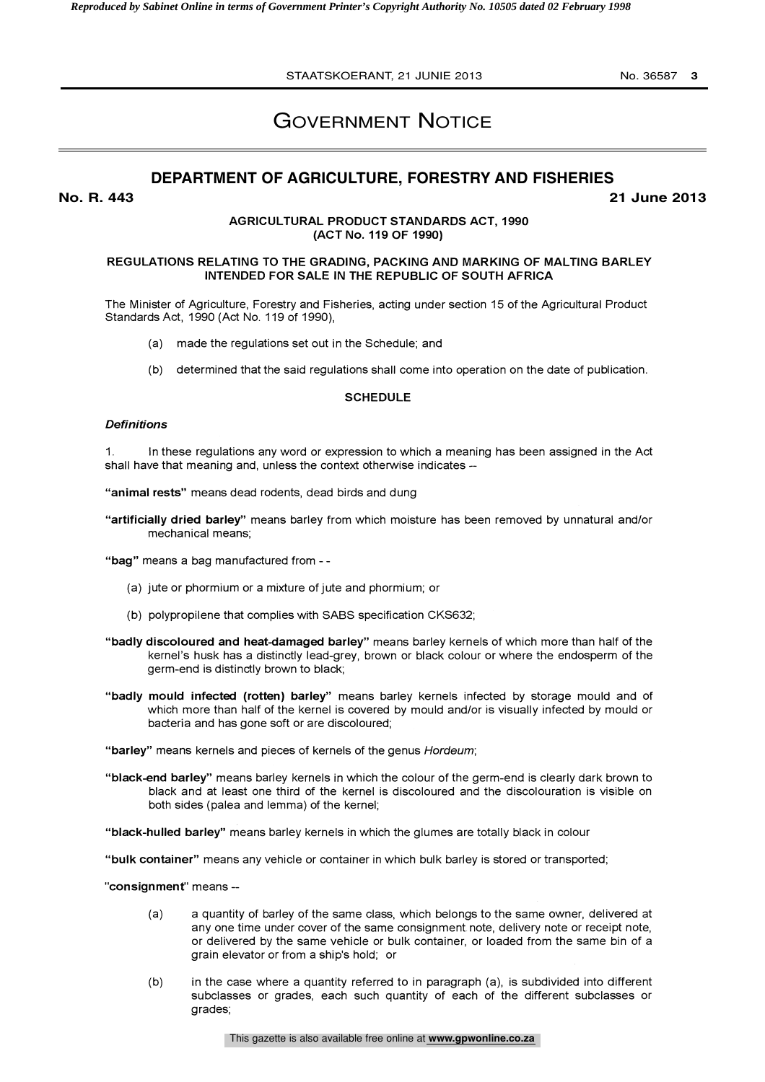# GOVERNMENT NOTICE

## **DEPARTMENT OF AGRICULTURE, FORESTRY AND FISHERIES**

**No. R. 443 21 June 2013**

## AGRICULTURAL PRODUCT STANDARDS ACT, 1990 (ACT No. 119 OF 1990)

## REGULATIONS RELATING TO THE GRADING, PACKING AND MARKING OF MALTING BARLEY INTENDED FOR SALE IN THE REPUBLIC OF SOUTH AFRICA

The Minister of Agriculture, Forestry and Fisheries, acting under section 15 of the Agricultural Product Standards Act, 1990 (Act No. 119 of 1990),

- (a) made the regulations set out in the Schedule; and
- (b) determined that the said regulations shall come into operation on the date of publication.

#### **SCHEDULE**

#### **Definitions**

1. In these regulations any word or expression to which a meaning has been assigned in the Act shall have that meaning and, unless the context otherwise indicates --

"animal rests" means dead rodents, dead birds and dung

"artificially dried barley" means barley from which moisture has been removed by unnatural and/or mechanical means;

"bag" means a bag manufactured from - -

- (a) jute or phormium or a mixture of jute and phormium; or
- (b) polypropilene that complies with SABS specification CKS632;
- "badly discoloured and heat-damaged barley" means barley kernels of which more than half of the kernel's husk has a distinctly lead-grey, brown or black colour or where the endosperm of the germ-end is distinctly brown to black;
- "badly mould infected (rotten) barley" means barley kernels infected by storage mould and of which more than half of the kernel is covered by mould and/or is visually infected by mould or bacteria and has gone soft or are discoloured;

"barley" means kernels and pieces of kernels of the genus Hordeum;

"black-end barley" means barley kernels in which the colour of the germ-end is clearly dark brown to black and at least one third of the kernel is discoloured and the discolouration is visible on both sides (pales and lemma) of the kernel;

"black-hulled barley" means barley kernels in which the glumes are totally black in colour

"bulk container" means any vehicle or container in which bulk barley is stored or transported;

"consignment" means -

- (a) a quantity of barley of the same class, which belongs to the same owner, delivered at any one time under cover of the same consignment note, delivery note or receipt note, or delivered by the same vehicle or bulk container, or loaded from the same bin of a grain elevator or from a ship's hold; or
- (b) in the case where a quantity referred to in paragraph (a), is subdivided into different subclasses or grades, each such quantity of each of the different subclasses or grades;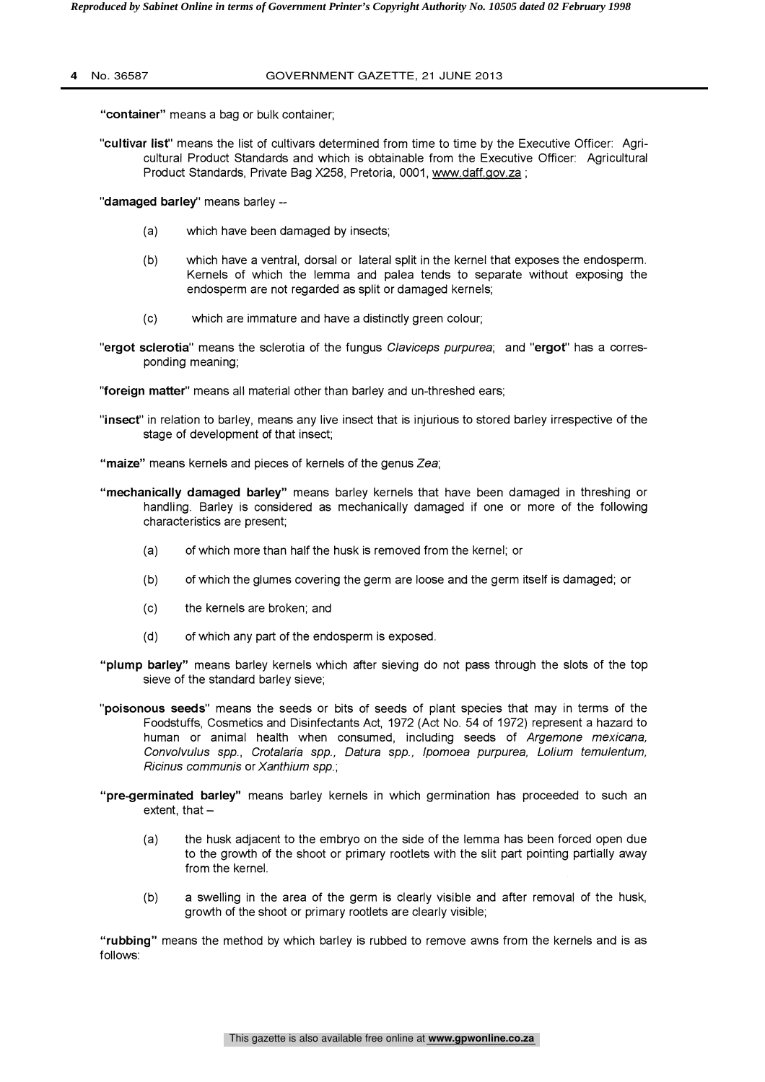#### **4** No. 36587 GOVERNMENT GAZETTE, 21 JUNE 2013

"container" means a bag or bulk container;

"cultivar list" means the list of cultivars determined from time to time by the Executive Officer: Agricultural Product Standards and which is obtainable from the Executive Officer: Agricultural Product Standards, Private Bag X258, Pretoria, 0001, www.daff.gov.za;

"damaged barley" means barley --

- (a) which have been damaged by insects;
- (b) which have a ventral, dorsal or lateral split in the kernel that exposes the endosperm. Kernels of which the lemma and palea tends to separate without exposing the endosperm are not regarded as split or damaged kernels;
- (c) which are immature and have a distinctly green colour;
- "ergot sclerotia" means the sclerotia of the fungus Claviceps purpurea; and "ergot" has a corresponding meaning;

"foreign matter" means all material other than barley and un-threshed ears;

- "insect" in relation to barley, means any live insect that is injurious to stored barley irrespective of the stage of development of that insect;
- "maize" means kernels and pieces of kernels of the genus Zea;
- "mechanically damaged barley" means barley kernels that have been damaged in threshing or handling. Barley is considered as mechanically damaged if one or more of the following characteristics are present;
	- (a) of which more than half the husk is removed from the kernel; or
	- (b) of which the glumes covering the germ are loose and the germ itself is damaged; or
	- (c) the kernels are broken; and
	- (d) of which any part of the endosperm is exposed.
- "plump barley" means barley kernels which after sieving do not pass through the slots of the top sieve of the standard barley sieve;
- "poisonous seeds" means the seeds or bits of seeds of plant species that may in terms of the Foodstuffs, Cosmetics and Disinfectants Act, 1972 (Act No. 54 of 1972) represent a hazard to human or animal health when consumed, including seeds of Argemone mexicana, Convolvulus spp., Crotalaria spp., Datura spp., 1pomoea purpurea, Lolium temulentum, Ricinus communis or Xanthium spp.;
- "pre-germinated barley" means barley kernels in which germination has proceeded to such an extent, that  $-$ 
	- (a) the husk adjacent to the embryo on the side of the lemma has been forced open due to the growth of the shoot or primary rootlets with the slit part pointing partially away from the kernel.
	- (b) a swelling in the area of the germ is clearly visible and after removal of the husk, growth of the shoot or primary rootlets are clearly visible;

"rubbing" means the method by which barley is rubbed to remove awns from the kernels and is as follows: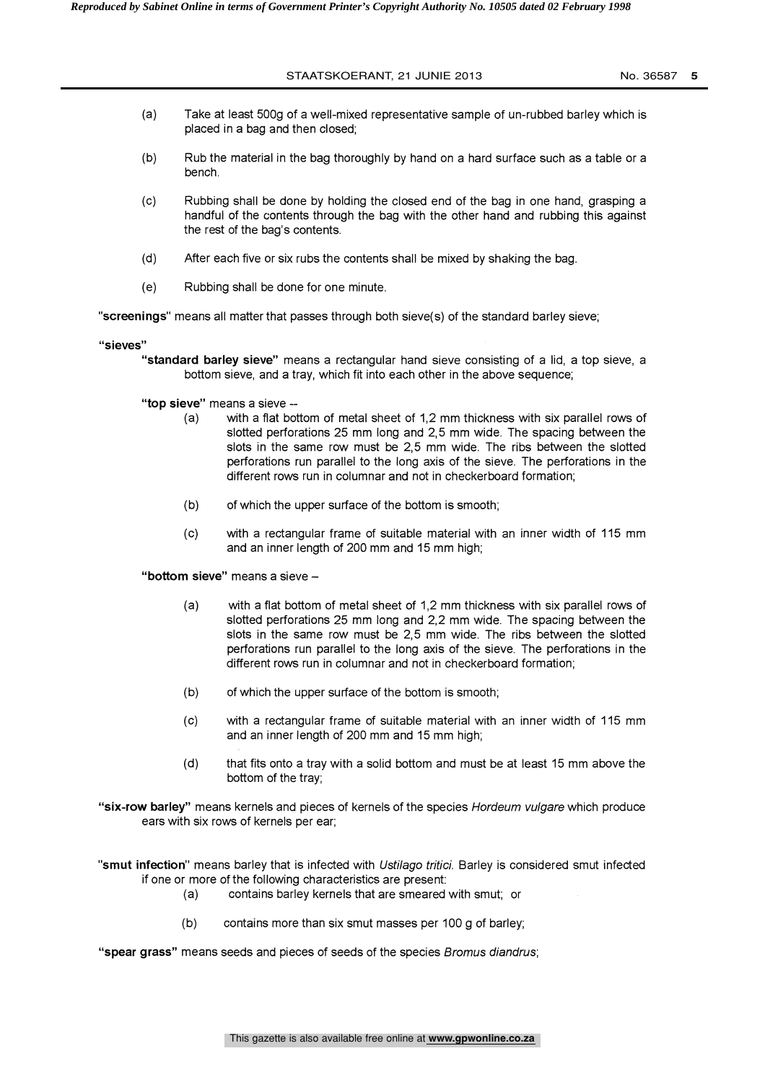- (a) Take at least 500g of a well-mixed representative sample of un-rubbed barley which is placed in a bag and then closed;
- (b) Rub the material in the bag thoroughly by hand on a hard surface such as a table or a bench.
- (c) Rubbing shall be done by holding the closed end of the bag in one hand, grasping a handful of the contents through the bag with the other hand and rubbing this against the rest of the bag's contents.
- (d) After each five or six rubs the contents shall be mixed by shaking the bag.
- (e) Rubbing shall be done for one minute.

"screenings" means all matter that passes through both sieve(s) of the standard barley sieve;

"sieves"

"standard barley sieve" means a rectangular hand sieve consisting of a lid, a top sieve, a bottom sieve, and a tray, which fit into each other in the above sequence;

"top sieve" means a sieve --

- (a) with a flat bottom of metal sheet of 1,2 mm thickness with six parallel rows of slotted perforations 25 mm long and 2,5 mm wide. The spacing between the slots in the same row must be 2,5 mm wide. The ribs between the slotted perforations run parallel to the long axis of the sieve. The perforations in the different rows run in columnar and not in checkerboard formation;
- (b) of which the upper surface of the bottom is smooth;
- (c) with a rectangular frame of suitable material with an inner width of 115 mm and an inner length of 200 mm and 15 mm high;

"bottom sieve" means a sieve -

- (a) with a flat bottom of metal sheet of 1,2 mm thickness with six parallel rows of slotted perforations 25 mm long and 2,2 mm wide. The spacing between the slots in the same row must be 2,5 mm wide. The ribs between the slotted perforations run parallel to the long axis of the sieve. The perforations in the different rows run in columnar and not in checkerboard formation;
- (b) of which the upper surface of the bottom is smooth;
- (c) with a rectangular frame of suitable material with an inner width of 115 mm and an inner length of 200 mm and 15 mm high;
- (d) that fits onto a tray with a solid bottom and must be at least 15 mm above the bottom of the tray;

"six-row barley" means kernels and pieces of kernels of the species Hordeum vulgare which produce ears with six rows of kernels per ear;

"smut infection" means barley that is infected with Ustilago tritici. Barley is considered smut infected if one or more of the following characteristics are present:

- (a) contains barley kernels that are smeared with smut; or
- (b) contains more than six smut masses per 100 g of barley;

"spear grass" means seeds and pieces of seeds of the species Bromus diandrus;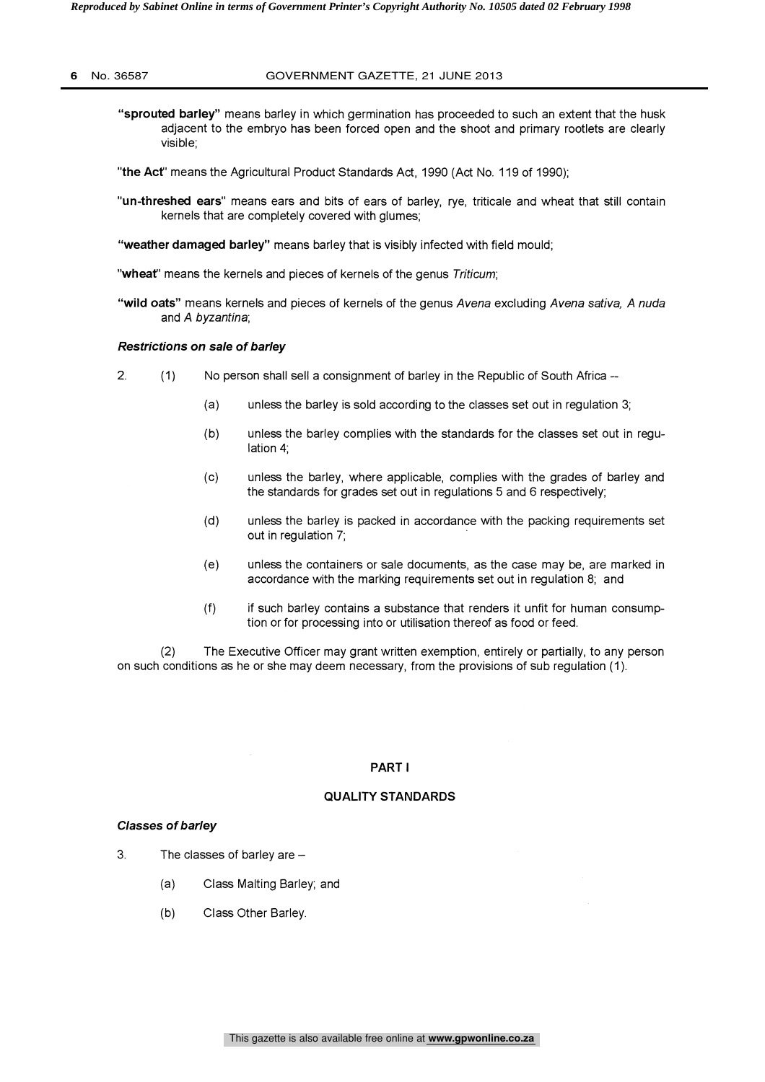- "sprouted barley" means barley in which germination has proceeded to such an extent that the husk adjacent to the embryo has been forced open and the shoot and primary rootlets are clearly visible;
- "the Act' means the Agricultural Product Standards Act, 1990 (Act No. 119 of 1990);
- "un-threshed ears" means ears and bits of ears of barley, rye, triticale and wheat that still contain kernels that are completely covered with glumes;
- "weather damaged barley" means barley that is visibly infected with field mould;
- "wheat" means the kernels and pieces of kernels of the genus Triticum;
- "wild oats" means kernels and pieces of kernels of the genus Avena excluding Avena sativa, A nuda and A byzantine;

## Restrictions on sale of barley

- 2. (1) No person shall sell a consignment of barley in the Republic of South Africa
	- (a) unless the barley is sold according to the classes set out in regulation 3;
	- (b) unless the barley complies with the standards for the classes set out in regulation 4;
	- (c) unless the barley, where applicable, complies with the grades of barley and the standards for grades set out in regulations 5 and 6 respectively;
	- (d) unless the barley is packed in accordance with the packing requirements set out in regulation 7;
	- (e) unless the containers or sale documents, as the case may be, are marked in accordance with the marking requirements set out in regulation 8; and
	- (f) if such barley contains a substance that renders it unfit for human consumption or for processing into or utilisation thereof as food or feed.

(2) The Executive Officer may grant written exemption, entirely or partially, to any person on such conditions as he or she may deem necessary, from the provisions of sub regulation (1).

#### PART I

#### QUALITY STANDARDS

## Classes of barley

- 3. The classes of barley are  $-$ 
	- (a) Class Malting Barley; and
	- (b) Class Other Barley.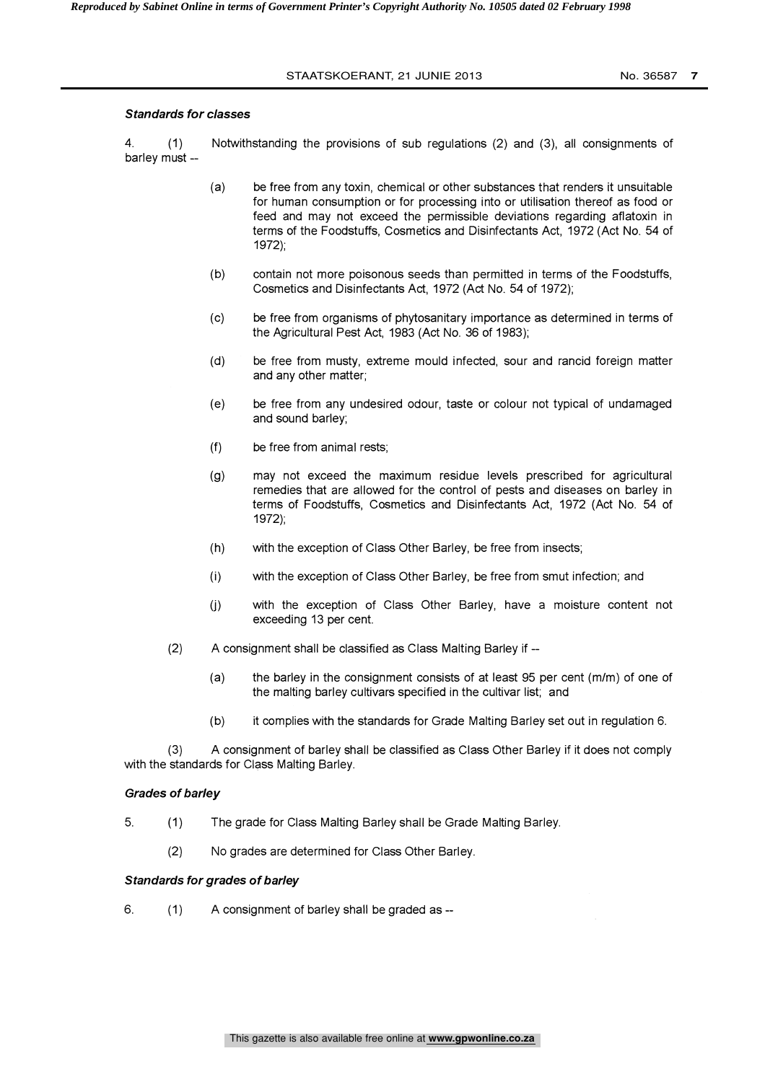## Standards for classes

4. (1) Notwithstanding the provisions of sub regulations (2) and (3), all consignments of barley must --

- (a) be free from any toxin, chemical or other substances that renders it unsuitable for human consumption or for processing into or utilisation thereof as food or feed and may not exceed the permissible deviations regarding aflatoxin in terms of the Foodstuffs, Cosmetics and Disinfectants Act, 1972 (Act No. 54 of 1972);
- (b) contain not more poisonous seeds than permitted in terms of the Foodstuffs, Cosmetics and Disinfectants Act, 1972 (Act No. 54 of 1972);
- (c) be free from organisms of phytosanitary importance as determined in terms of the Agricultural Pest Act, 1983 (Act No. 36 of 1983);
- (d) be free from musty, extreme mould infected, sour and rancid foreign matter and any other matter;
- (e) be free from any undesired odour, taste or colour not typical of undamaged and sound barley;
- (f) be free from animal rests;
- (g) may not exceed the maximum residue levels prescribed for agricultural remedies that are allowed for the control of pests and diseases on barley in terms of Foodstuffs, Cosmetics and Disinfectants Act, 1972 (Act No. 54 of 1972);
- (h) with the exception of Class Other Barley, be free from insects;
- (i) with the exception of Class Other Barley, be free from smut infection; and
- (j) with the exception of Class Other Barley, have a moisture content not exceeding 13 per cent.
- (2) A consignment shall be classified as Class Malting Barley if --
	- (a) the barley in the consignment consists of at least 95 per cent (m/m) of one of the malting barley cultivars specified in the cultivar list; and
	- (b) it complies with the standards for Grade Malting Barley set out in regulation 6.

A consignment of barley shall be classified as Class Other Barley if it does not comply with the standards for Class Malting Barley.

## Grades of barley

- 5. (1) The grade for Class Malting Barley shall be Grade Malting Barley.
	- (2) No grades are determined for Class Other Barley.

## Standards for grades of barley

6. (1) A consignment of barley shall be graded as --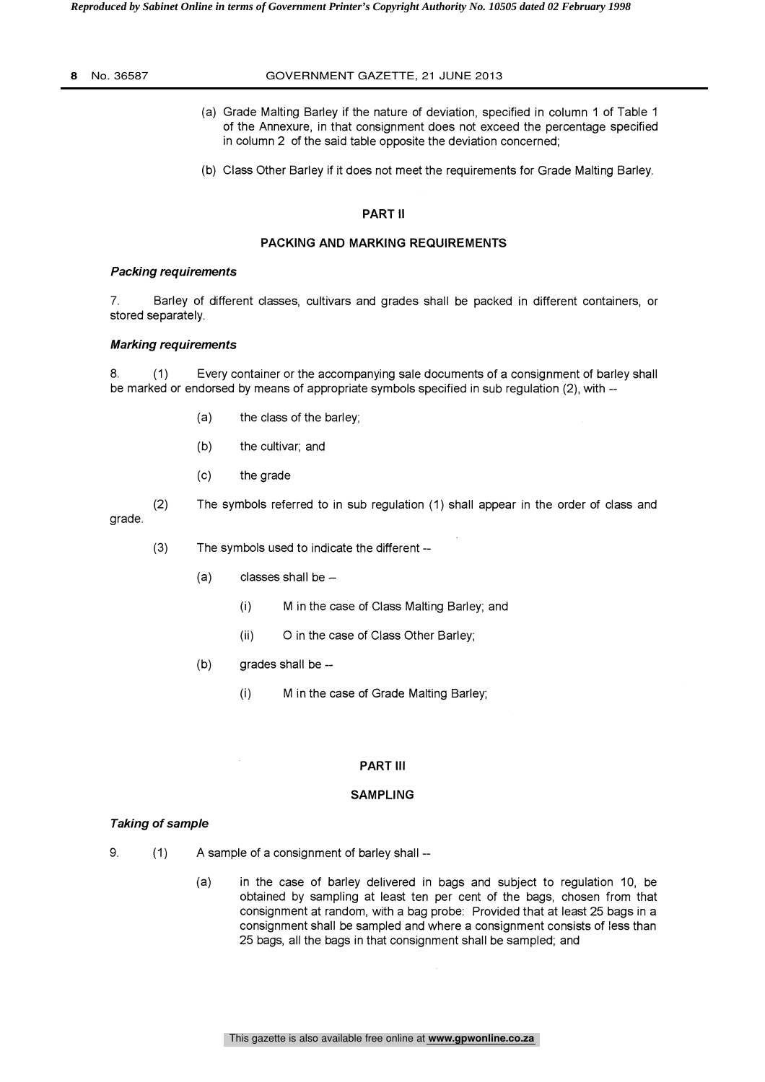#### **8** No. 36587 GOVERNMENT GAZETTE, 21 JUNE 2013

- (a) Grade Malting Barley if the nature of deviation, specified in column 1 of Table 1 of the Annexure, in that consignment does not exceed the percentage specified in column 2 of the said table opposite the deviation concerned;
- (b) Class Other Barley if it does not meet the requirements for Grade Malting Barley.

## PART II

## PACKING AND MARKING REQUIREMENTS

## Packing requirements

7. Barley of different classes, cultivars and grades shall be packed in different containers, or stored separately.

## Marking requirements

8. (1) Every container or the accompanying sale documents of a consignment of barley shall be marked or endorsed by means of appropriate symbols specified in sub regulation (2), with -

- (a) the class of the barley;
- (b) the cultivar; and
- (c) the grade

(2) The symbols referred to in sub regulation (1) shall appear in the order of class and grade.

(3) The symbols used to indicate the different -

- $(a)$  classes shall be  $-$ 
	- M in the case of Class Malting Barley; and  $(i)$
	- (ii) 0 in the case of Class Other Barley;
- (b) grades shall be --
	- (i) M in the case of Grade Malting Barley;

## PART III

## SAMPLING

## Taking of sample

- 9. (1) A sample of a consignment of barley shall
	- (a) in the case of barley delivered in bags and subject to regulation 10, be obtained by sampling at least ten per cent of the bags, chosen from that consignment at random, with a bag probe: Provided that at least 25 bags in a consignment shall be sampled and where a consignment consists of less than 25 bags, all the bags in that consignment shall be sampled; and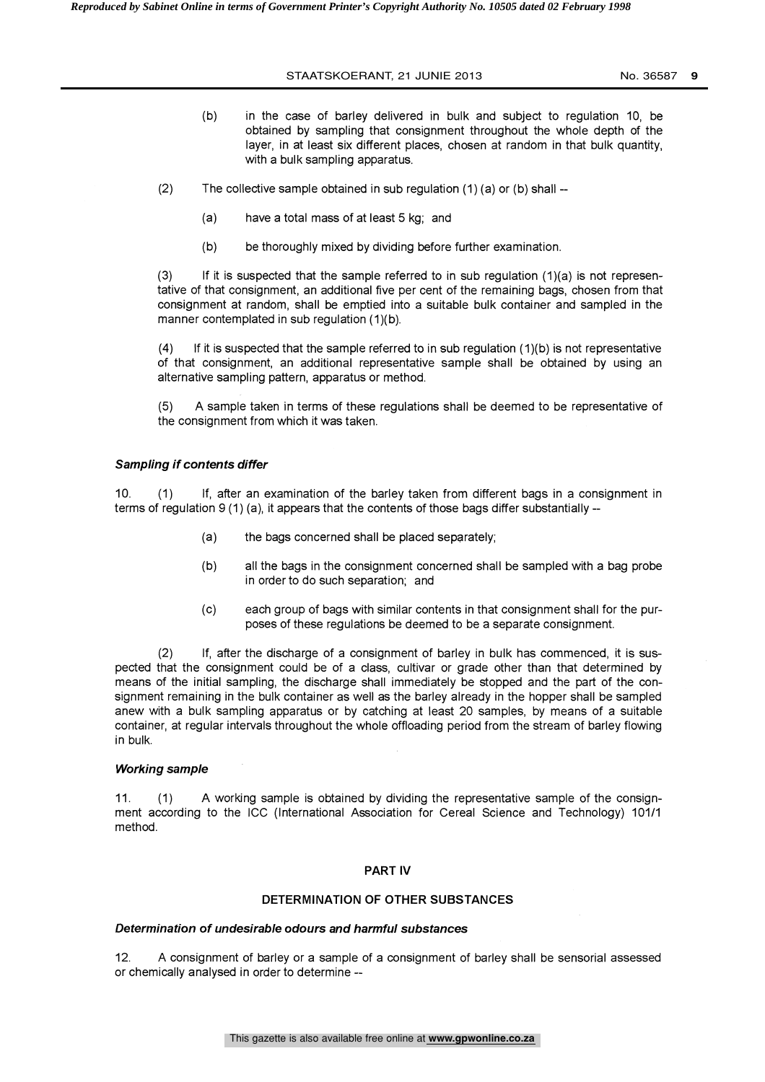- (b) in the case of barley delivered in bulk and subject to regulation 10, be obtained by sampling that consignment throughout the whole depth of the layer, in at least six different places, chosen at random in that bulk quantity, with a bulk sampling apparatus.
- (2) The collective sample obtained in sub regulation  $(1)$  (a) or  $(b)$  shall --
	- (a) have a total mass of at least 5 kg; and
	- (b) be thoroughly mixed by dividing before further examination.

 $(3)$  If it is suspected that the sample referred to in sub regulation  $(1)(a)$  is not representative of that consignment, an additional five per cent of the remaining bags, chosen from that consignment at random, shall be emptied into a suitable bulk container and sampled in the manner contemplated in sub regulation (1)(b).

 $(4)$  If it is suspected that the sample referred to in sub regulation  $(1)(b)$  is not representative of that consignment, an additional representative sample shall be obtained by using an alternative sampling pattern, apparatus or method.

(5) A sample taken in terms of these regulations shall be deemed to be representative of the consignment from which it was taken.

## Sampling if contents differ

10. (1) If, after an examination of the barley taken from different bags in a consignment in terms of regulation  $9(1)$  (a), it appears that the contents of those bags differ substantially  $-$ 

- (a) the bags concerned shall be placed separately,
- (b) all the bags in the consignment concerned shall be sampled with a bag probe in order to do such separation; and
- (c) each group of bags with similar contents in that consignment shall for the purposes of these regulations be deemed to be a separate consignment.

(2) If, after the discharge of a consignment of barley in bulk has commenced, it is suspected that the consignment could be of a class, cultivar or grade other than that determined by means of the initial sampling, the discharge shall immediately be stopped and the part of the consignment remaining in the bulk container as well as the barley already in the hopper shall be sampled anew with a bulk sampling apparatus or by catching at least 20 samples, by means of a suitable container, at regular intervals throughout the whole offloading period from the stream of barley flowing in bulk.

#### Working sample

11. (1) A working sample is obtained by dividing the representative sample of the consignment according to the ICC (International Association for Cereal Science and Technology) 101/1 method.

## PART IV

## DETERMINATION OF OTHER SUBSTANCES

## Determination of undesirable odours and harmful substances

12. A consignment of barley or a sample of a consignment of barley shall be sensorial assessed or chemically analysed in order to determine --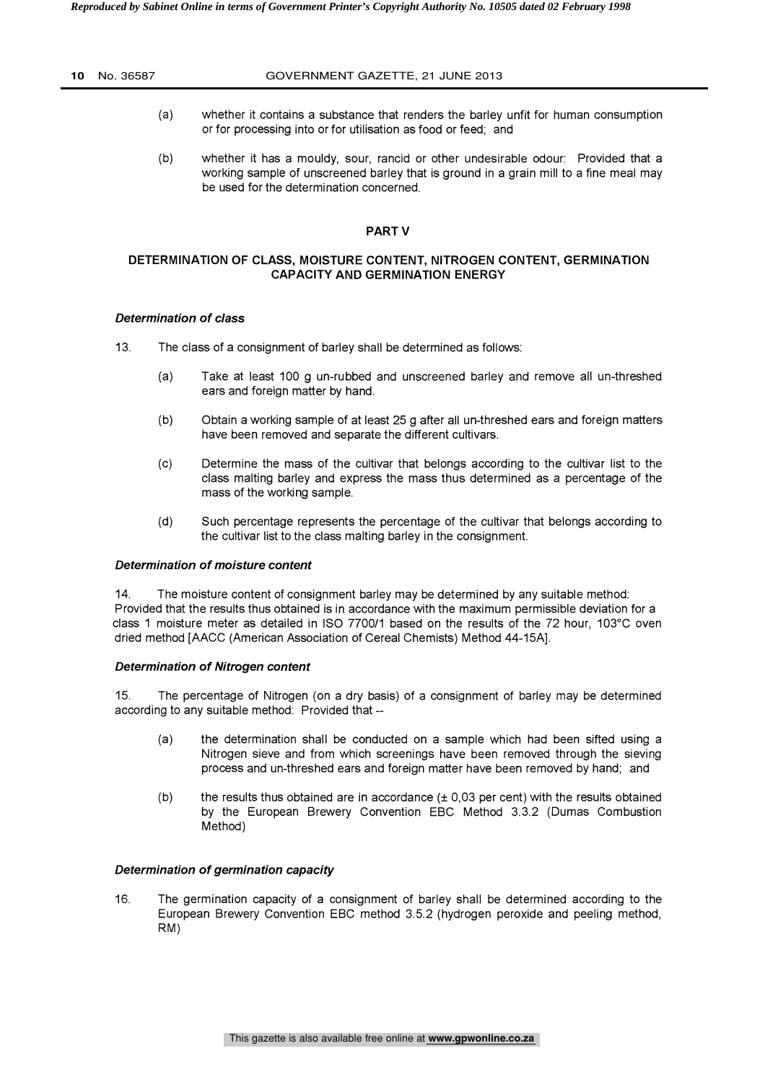- (a) whether it contains a substance that renders the barley unfit for human consumption or for processing into or for utilisation as food or feed; and
- (b) whether it has a mouldy, sour, rancid or other undesirable odour: Provided that a working sample of unscreened barley that is ground in a grain mill to a fine meal may be used for the determination concerned.

## PART V

## DETERMINATION OF CLASS, MOISTURE CONTENT, NITROGEN CONTENT, GERMINATION CAPACITY AND GERMINATION ENERGY

## Determination of class

13. The class of a consignment of barley shall be determined as follows:

- (a) Take at least 100 g un-rubbed and unscreened barley and remove all un-threshed ears and foreign matter by hand.
- (b) Obtain a working sample of at least 25 g after all un-threshed ears and foreign matters have been removed and separate the different cultivars.
- (c) Determine the mass of the cultivar that belongs according to the cultivar list to the class malting barley and express the mass thus determined as a percentage of the mass of the working sample.
- (d) Such percentage represents the percentage of the cultivar that belongs according to the cultivar list to the class malting barley in the consignment.

## Determination of moisture content

14. The moisture content of consignment barley may be determined by any suitable method: Provided that the results thus obtained is in accordance with the maximum permissible deviation for a class 1 moisture meter as detailed in ISO 7700/1 based on the results of the 72 hour, 103°C oven dried method [AACC (American Association of Cereal Chemists) Method 44-15A].

## Determination of Nitrogen content

15. The percentage of Nitrogen (on a dry basis) of a consignment of barley may be determined according to any suitable method: Provided that --

- (a) the determination shall be conducted on a sample which had been sifted using a Nitrogen sieve and from which screenings have been removed through the sieving process and un-threshed ears and foreign matter have been removed by hand; and
- (b) the results thus obtained are in accordance  $(\pm 0.03$  per cent) with the results obtained by the European Brewery Convention EBC Method 3.3.2 (Dumas Combustion Method)

## Determination of germination capacity

16. The germination capacity of a consignment of barley shall be determined according to the European Brewery Convention EBC method 3.5.2 (hydrogen peroxide and peeling method, RM)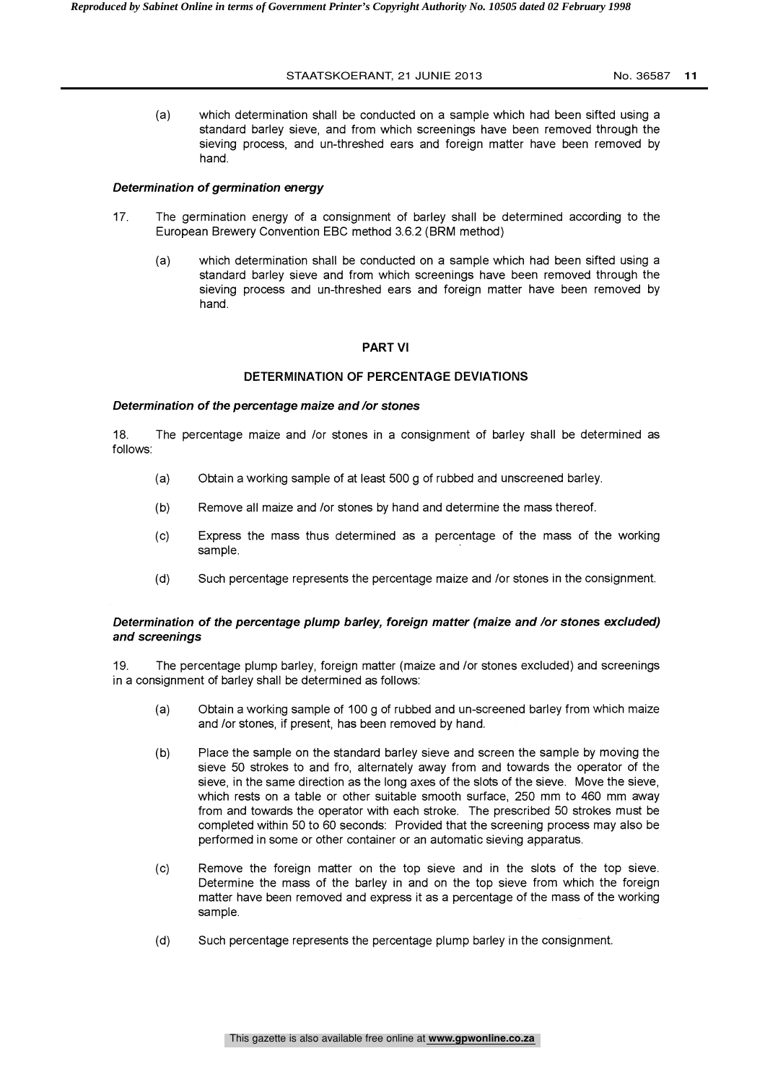(a) which determination shall be conducted on a sample which had been sifted using a standard barley sieve, and from which screenings have been removed through the sieving process, and un-threshed ears and foreign matter have been removed by hand.

## Determination of germination energy

- 17. The germination energy of a consignment of barley shall be determined according to the European Brewery Convention EBC method 3.6.2 (BRM method)
	- (a) which determination shall be conducted on a sample which had been sifted using a standard barley sieve and from which screenings have been removed through the sieving process and un-threshed ears and foreign matter have been removed by hand.

## PART VI

## DETERMINATION OF PERCENTAGE DEVIATIONS

## Determination of the percentage maize and /or stones

18. The percentage maize and /or stones in a consignment of barley shall be determined as follows:

- (a) Obtain a working sample of at least 500 g of rubbed and unscreened barley.
- (b) Remove all maize and /or stones by hand and determine the mass thereof.
- (c) Express the mass thus determined as a percentage of the mass of the working sample.
- (d) Such percentage represents the percentage maize and /or stones in the consignment.

## Determination of the percentage plump barley, foreign matter (maize and /or stones excluded) and screenings

19. The percentage plump barley, foreign matter (maize and /or stones excluded) and screenings in a consignment of barley shall be determined as follows:

- (a) Obtain a working sample of 100 g of rubbed and un-screened barley from which maize and /or stones, if present, has been removed by hand.
- (b) Place the sample on the standard barley sieve and screen the sample by moving the sieve 50 strokes to and fro, alternately away from and towards the operator of the sieve, in the same direction as the long axes of the slots of the sieve. Move the sieve, which rests on a table or other suitable smooth surface, 250 mm to 460 mm away from and towards the operator with each stroke. The prescribed 50 strokes must be completed within 50 to 60 seconds: Provided that the screening process may also be performed in some or other container or an automatic sieving apparatus.
- (c) Remove the foreign matter on the top sieve and in the slots of the top sieve. Determine the mass of the barley in and on the top sieve from which the foreign matter have been removed and express it as a percentage of the mass of the working sample.
- (d) Such percentage represents the percentage plump barley in the consignment.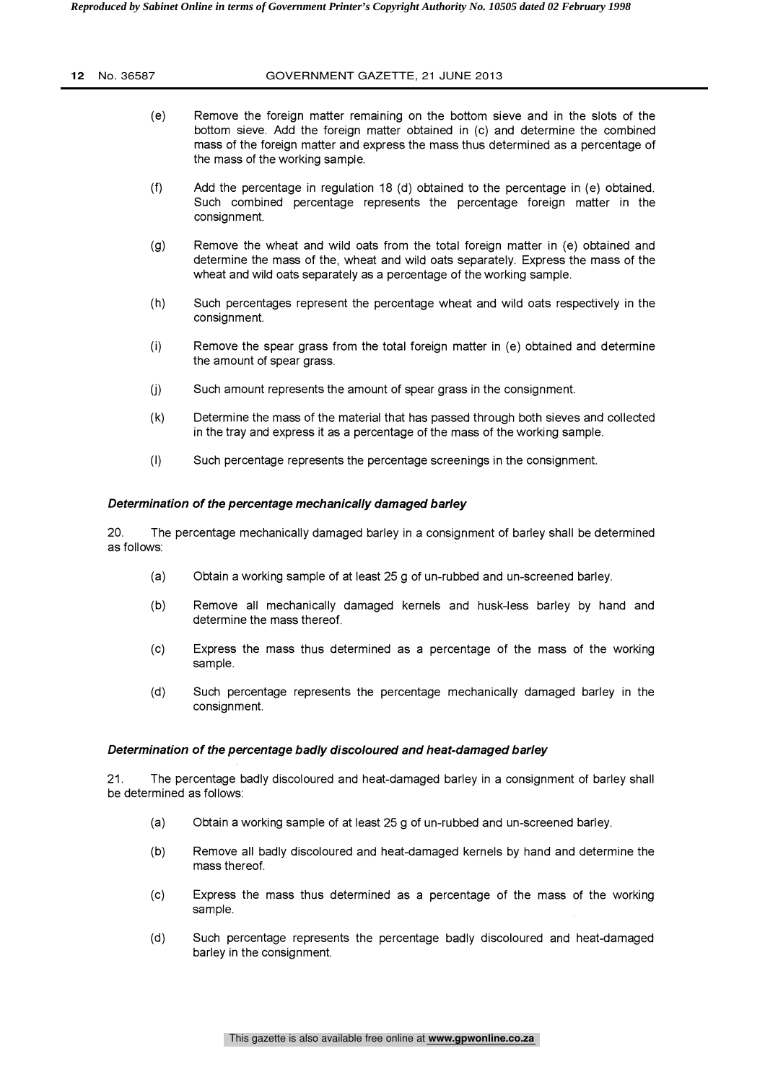| <b>12</b> No. 36587 | GOVERNMENT GAZETTE, 21 JUNE 2013                     |
|---------------------|------------------------------------------------------|
|                     | Remove the foreign matter remaining on the bottom si |

- (e) Remove the foreign matter remaining on the bottom sieve and in the slots of the bottom sieve. Add the foreign matter obtained in (c) and determine the combined mass of the foreign matter and express the mass thus determined as a percentage of the mass of the working sample. Remove the foreign matter remaining on the bottom sieve and in the slots of the bottom sieve. Add the foreign matter obtained in (c) and determine the combined mass of the foreign matter and express the mass thus determine
- (f) Add the percentage in regulation 18 (d) obtained to the percentage in (e) obtained. consignment.
- (g) Remove the wheat and wild oats from the total foreign matter in (e) obtained and determine the mass of the, wheat and wild oats separately. Express the mass of the wheat and wild oats separately as a percentage of the working sample.
- (h) Such percentages represent the percentage wheat and wild oats respectively in the consignment.
- $(i)$  Remove the spear grass from the total foreign matter in  $(e)$  obtained and determine the amount of spear grass.
- (j) Such amount represents the amount of spear grass in the consignment.
- (k) Determine the mass of the material that has passed through both sieves and collected in the tray and express it as a percentage of the mass of the working sample.
- (I) Such percentage represents the percentage screenings in the consignment.

## Determination of the percentage mechanically damaged barley

20. The percentage mechanically damaged barley in a consignment of barley shall be determined as follows:

- (a) Obtain a working sample of at least 25 g of un-rubbed and un-screened barley.
- (b) Remove all mechanically damaged kernels and husk-less barley by hand and determine the mass thereof.
- (c) Express the mass thus determined as a percentage of the mass of the working sample.
- (d) Such percentage represents the percentage mechanically damaged barley in the consignment.

## Determination of the percentage badly discoloured and heat-damaged barley

21. The percentage badly discoloured and heat-damaged barley in a consignment of barley shall be determined as follows:

- (a) Obtain a working sample of at least 25 g of un-rubbed and un-screened barley.
- (b) Remove all badly discoloured and heat-damaged kernels by hand and determine the mass thereof.
- (c) Express the mass thus determined as a percentage of the mass of the working sample.
- (d) Such percentage represents the percentage badly discoloured and heat-damaged barley in the consignment.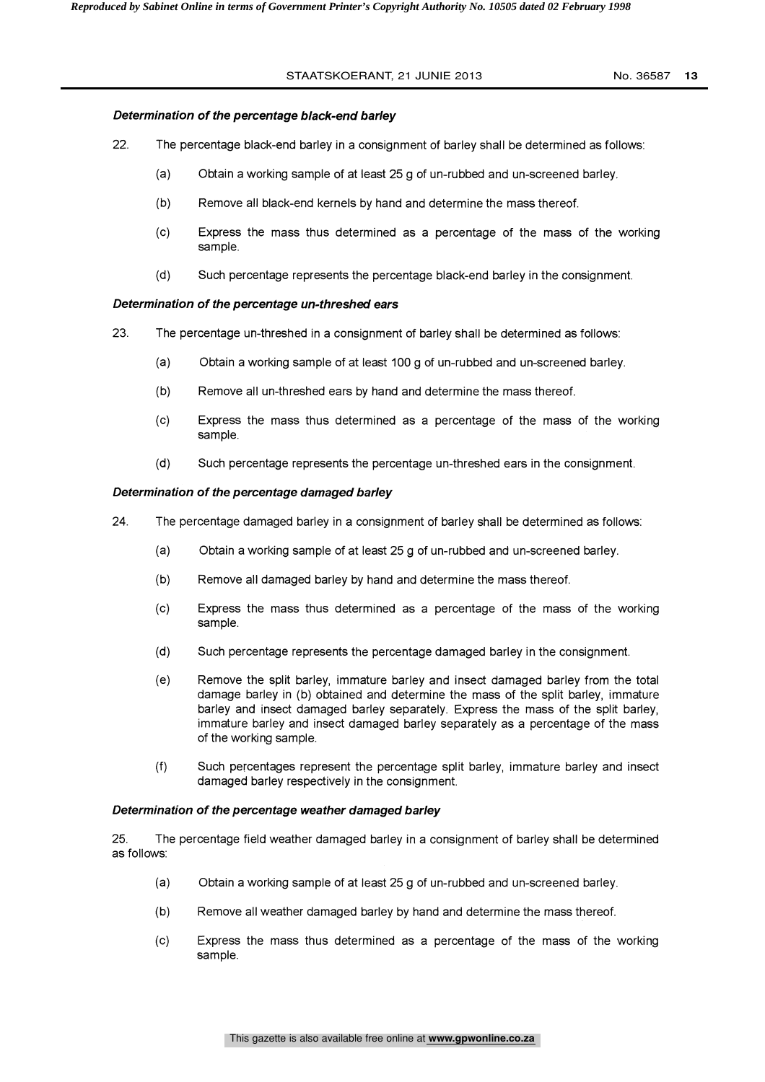## Determination of the percentage black-end barley

- 22. The percentage black-end barley in a consignment of barley shall be determined as follows:
	- (a) Obtain a working sample of at least 25 g of un-rubbed and un-screened barley.
	- (b) Remove all black-end kernels by hand and determine the mass thereof.
	- (c) Express the mass thus determined as a percentage of the mass of the working sample.
	- (d) Such percentage represents the percentage black-end barley in the consignment.

## Determination of the percentage un-threshed ears

- 23. The percentage un-threshed in a consignment of barley shall be determined as follows:
	- (a) Obtain a working sample of at least 100 g of un-rubbed and un-screened barley.
	- (b) Remove all un-threshed ears by hand and determine the mass thereof.
	- (c) Express the mass thus determined as a percentage of the mass of the working sample.
	- (d) Such percentage represents the percentage un-threshed ears in the consignment.

## Determination of the percentage damaged barley

- 24. The percentage damaged barley in a consignment of barley shall be determined as follows:
	- (a) Obtain a working sample of at least 25 g of un-rubbed and un-screened barley.
	- (b) Remove all damaged barley by hand and determine the mass thereof.
	- (c) Express the mass thus determined as a percentage of the mass of the working sample.
	- (d) Such percentage represents the percentage damaged barley in the consignment.
	- (e) Remove the split barley, immature barley and insect damaged barley from the total damage barley in (b) obtained and determine the mass of the split barley, immature barley and insect damaged barley separately. Express the mass of the split barley, immature barley and insect damaged barley separately as a percentage of the mass of the working sample.
	- (f) Such percentages represent the percentage split barley, immature barley and insect damaged barley respectively in the consignment.

## Determination of the percentage weather damaged barley

25. The percentage field weather damaged barley in a consignment of barley shall be determined as follows:

- (a) Obtain a working sample of at least 25 g of un-rubbed and un-screened barley.
- (b) Remove all weather damaged barley by hand and determine the mass thereof.
- (c) Express the mass thus determined as a percentage of the mass of the working sample.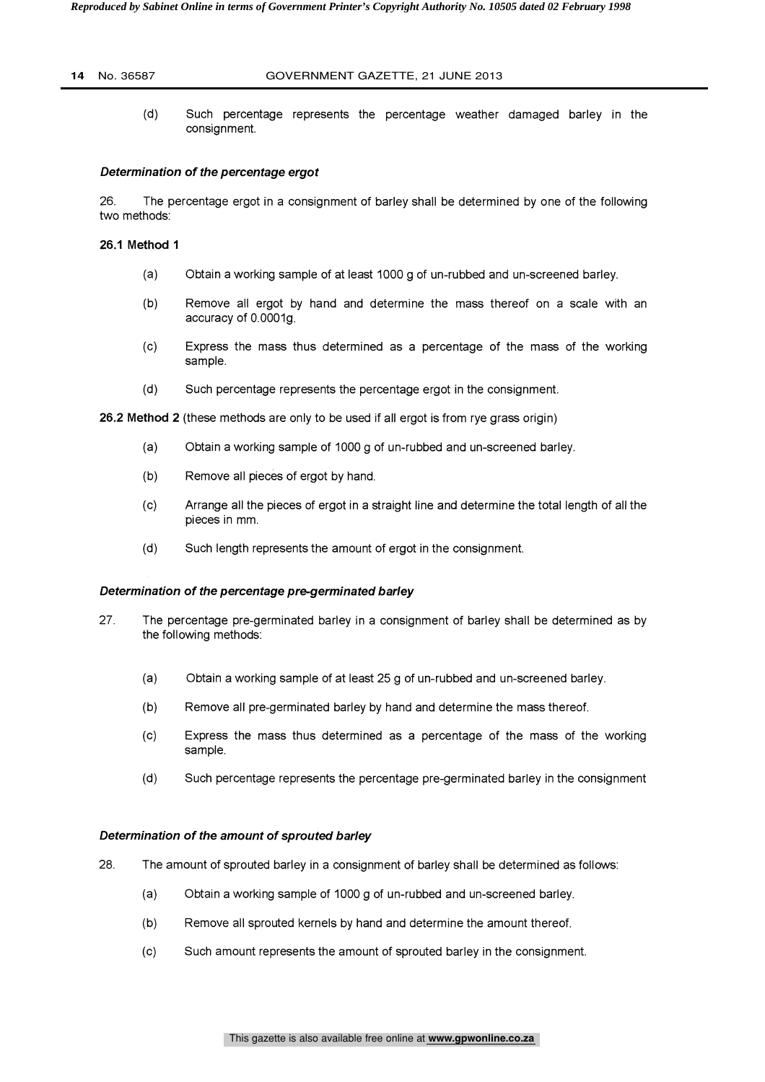#### **14** No. 36587 GOVERNMENT GAZETTE, 21 JUNE 2013

(d) Such percentage represents the percentage weather damaged barley in the consignment.

#### Determination of the percentage ergot

26. The percentage ergot in a consignment of barley shall be determined by one of the following two methods:

## 26.1 Method 1

- (a) Obtain a working sample of at least 1000 g of un-rubbed and un-screened barley.
- (b) Remove all ergot by hand and determine the mass thereof on a scale with an accuracy of 0.0001g.
- (c) Express the mass thus determined as a percentage of the mass of the working sample.
- (d) Such percentage represents the percentage ergot in the consignment.

26.2 Method 2 (these methods are only to be used if all ergot is from rye grass origin)

- (a) Obtain a working sample of 1000 g of un-rubbed and un-screened barley.
- (b) Remove all pieces of ergot by hand.
- (c) Arrange all the pieces of ergot in a straight line and determine the total length of all the pieces in mm.
- (d) Such length represents the amount of ergot in the consignment.

#### Determination of the percentage pre-germinated barley

- 27. The percentage pre-germinated barley in a consignment of barley shall be determined as by the following methods:
	- (a) Obtain a working sample of at least 25 g of un-rubbed and un-screened barley.
	- (b) Remove all pre-germinated barley by hand and determine the mass thereof.
	- (c) Express the mass thus determined as a percentage of the mass of the working sample.
	- (d) Such percentage represents the percentage pre-germinated barley in the consignment

## Determination of the amount of sprouted barley

- 28. The amount of sprouted barley in a consignment of barley shall be determined as follows:
	- (a) Obtain a working sample of 1000 g of un-rubbed and un-screened barley.
	- (b) Remove all sprouted kernels by hand and determine the amount thereof.
	- (c) Such amount represents the amount of sprouted barley in the consignment.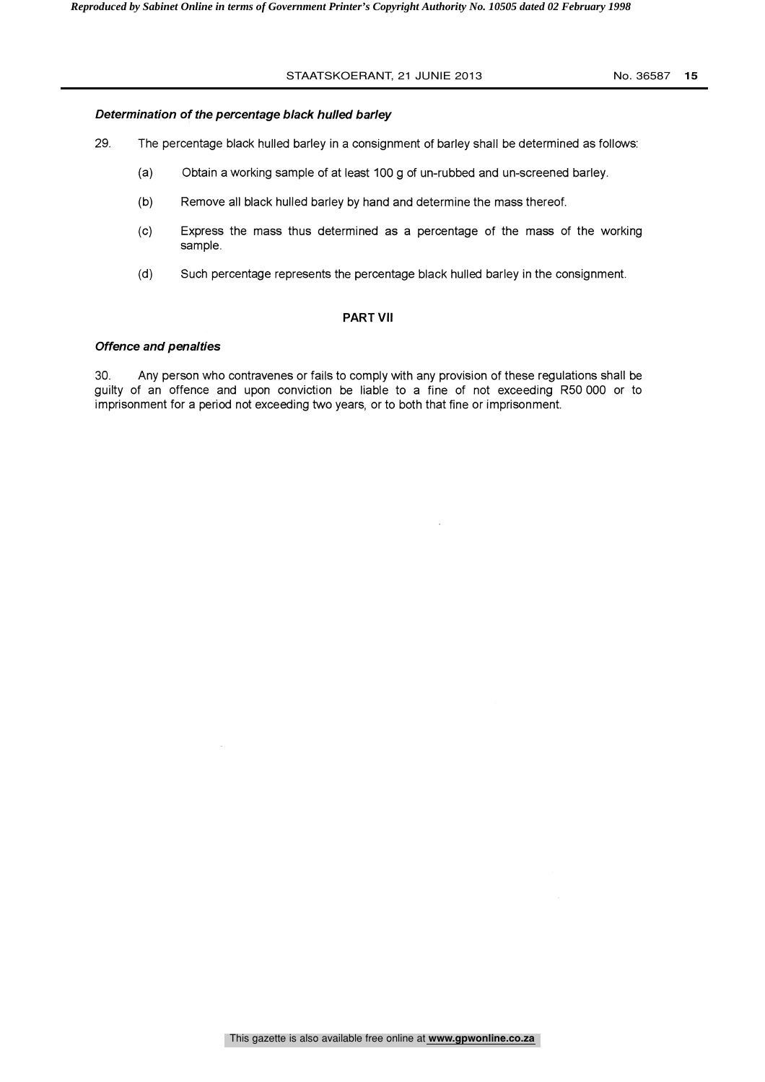## Determination of the percentage black hulled barley

- 29. The percentage black hulled barley in a consignment of barley shall be determined as follows:
	- (a) Obtain a working sample of at least 100 g of un-rubbed and un-screened barley.
	- (b) Remove all black hulled barley by hand and determine the mass thereof.
	- (c) Express the mass thus determined as a percentage of the mass of the working sample.
	- (d) Such percentage represents the percentage black hulled barley in the consignment.

## PART VII

## Offence and penalties

30. Any person who contravenes or fails to comply with any provision of these regulations shall be guilty of an offence and upon conviction be liable to a fine of not exceeding R50 000 or to imprisonment for a period not exceeding two years, or to both that fine or imprisonment.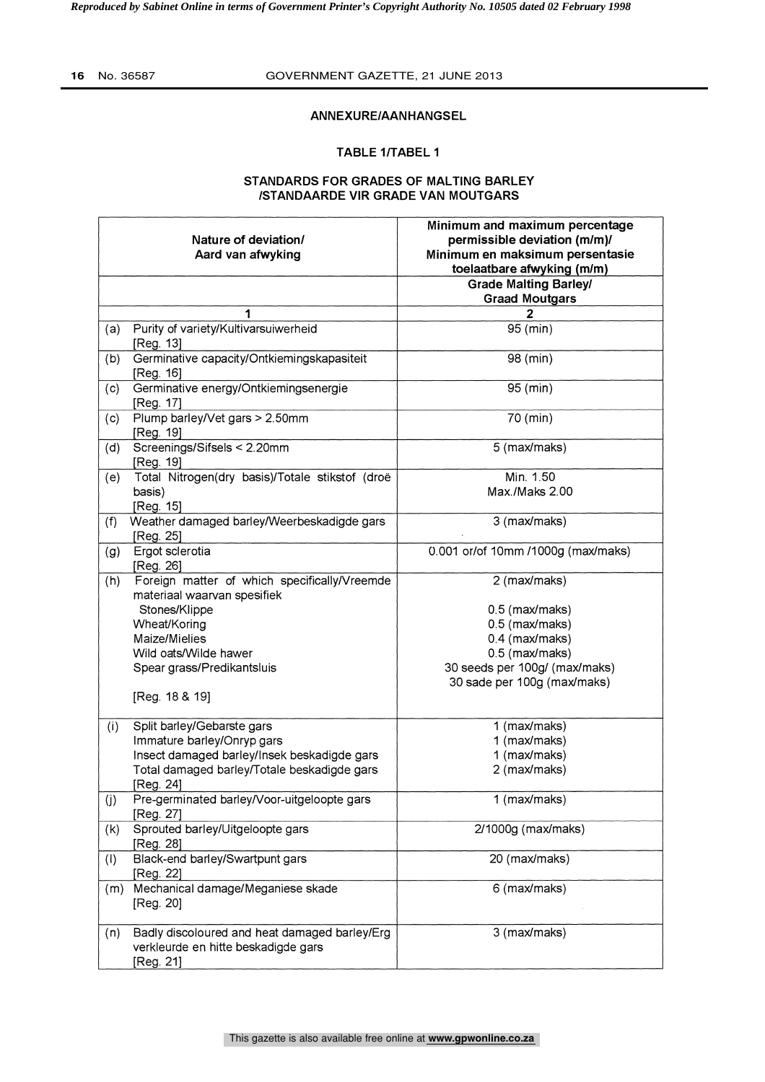$\mathbf{r}$ 

## **16** No. 36587 GOVERNMENT GAZETTE, 21 JUNE 2013

## ANNEXURE/AANHANGSEL

## TABLE 1/TABEL 1

## STANDARDS FOR GRADES OF MALTING BARLEY /STANDAARDE VIR GRADE VAN MOUTGARS

|     | Nature of deviation/<br>Aard van afwyking                                                         | Minimum and maximum percentage<br>permissible deviation (m/m)/<br>Minimum en maksimum persentasie<br>toelaatbare afwyking (m/m) |
|-----|---------------------------------------------------------------------------------------------------|---------------------------------------------------------------------------------------------------------------------------------|
|     |                                                                                                   | <b>Grade Malting Barley/</b><br><b>Graad Moutgars</b>                                                                           |
|     | 1                                                                                                 | 2                                                                                                                               |
| (a) | Purity of variety/Kultivarsuiwerheid                                                              | 95 (min)                                                                                                                        |
|     | [Reg. 13]                                                                                         |                                                                                                                                 |
| (b) | Germinative capacity/Ontkiemingskapasiteit<br>[Reg. 16]                                           | 98 (min)                                                                                                                        |
| (c) | Germinative energy/Ontkiemingsenergie<br>[Reg. 17]                                                | 95 (min)                                                                                                                        |
| (c) | Plump barley/Vet gars > 2.50mm<br>[Reg. 19]                                                       | 70 (min)                                                                                                                        |
| (d) | Screenings/Sifsels < 2.20mm<br>[Reg. 19]                                                          | 5 (max/maks)                                                                                                                    |
| (e) | Total Nitrogen(dry basis)/Totale stikstof (droë                                                   | Min. 1.50                                                                                                                       |
|     | basis)<br>[Reg. 15]                                                                               | Max./Maks 2.00                                                                                                                  |
| (f) | Weather damaged barley/Weerbeskadigde gars<br>[Reg. 25]                                           | 3 (max/maks)                                                                                                                    |
| (g) | Ergot sclerotia<br>[Reg. 26]                                                                      | 0.001 or/of 10mm /1000g (max/maks)                                                                                              |
| (h) | Foreign matter of which specifically/Vreemde                                                      | 2 (max/maks)                                                                                                                    |
|     | materiaal waarvan spesifiek                                                                       |                                                                                                                                 |
|     | Stones/Klippe                                                                                     | 0.5 (max/maks)                                                                                                                  |
|     | Wheat/Koring                                                                                      | 0.5 (max/maks)                                                                                                                  |
|     | Maize/Mielies                                                                                     | 0.4 (max/maks)                                                                                                                  |
|     | Wild oats/Wilde hawer                                                                             | 0.5 (max/maks)                                                                                                                  |
|     | Spear grass/Predikantsluis                                                                        | 30 seeds per 100g/ (max/maks)<br>30 sade per 100g (max/maks)                                                                    |
|     | [Reg. 18 & 19]                                                                                    |                                                                                                                                 |
| (i) | Split barley/Gebarste gars                                                                        | 1 (max/maks)                                                                                                                    |
|     | Immature barley/Onryp gars                                                                        | 1 (max/maks)                                                                                                                    |
|     | Insect damaged barley/Insek beskadigde gars                                                       | 1 (max/maks)                                                                                                                    |
|     | Total damaged barley/Totale beskadigde gars<br>[Reg. 24]                                          | 2 (max/maks)                                                                                                                    |
| (j) | Pre-germinated barley/Voor-uitgeloopte gars<br>[Reg. 27]                                          | 1 (max/maks)                                                                                                                    |
| (k) | Sprouted barley/Uitgeloopte gars<br>[Reg. 28]                                                     | 2/1000g (max/maks)                                                                                                              |
| (1) | Black-end barley/Swartpunt gars<br>[Reg. 22]                                                      | 20 (max/maks)                                                                                                                   |
| (m) | Mechanical damage/Meganiese skade<br>[Reg. 20]                                                    | 6 (max/maks)                                                                                                                    |
| (n) | Badly discoloured and heat damaged barley/Erg<br>verkleurde en hitte beskadigde gars<br>[Reg. 21] | 3 (max/maks)                                                                                                                    |